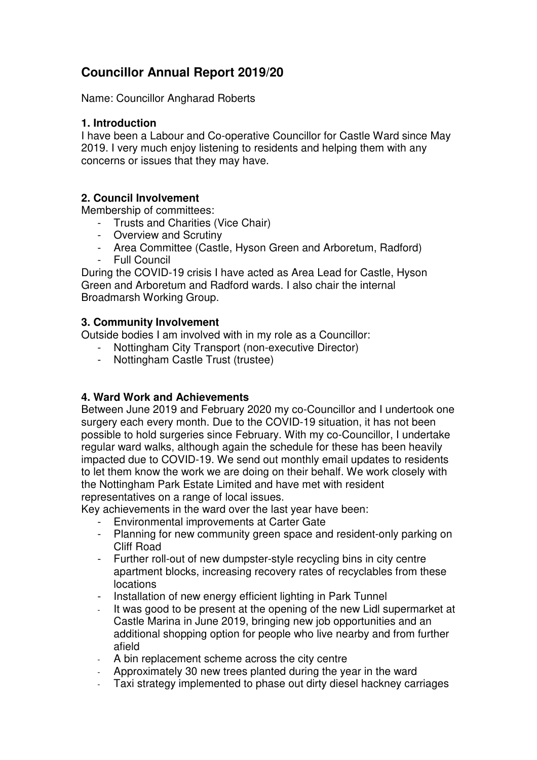# **Councillor Annual Report 2019/20**

Name: Councillor Angharad Roberts

### **1. Introduction**

I have been a Labour and Co-operative Councillor for Castle Ward since May 2019. I very much enjoy listening to residents and helping them with any concerns or issues that they may have.

## **2. Council Involvement**

Membership of committees:

- Trusts and Charities (Vice Chair)
- Overview and Scrutiny
- Area Committee (Castle, Hyson Green and Arboretum, Radford)
- Full Council

During the COVID-19 crisis I have acted as Area Lead for Castle, Hyson Green and Arboretum and Radford wards. I also chair the internal Broadmarsh Working Group.

## **3. Community Involvement**

Outside bodies I am involved with in my role as a Councillor:

- Nottingham City Transport (non-executive Director)
- Nottingham Castle Trust (trustee)

## **4. Ward Work and Achievements**

Between June 2019 and February 2020 my co-Councillor and I undertook one surgery each every month. Due to the COVID-19 situation, it has not been possible to hold surgeries since February. With my co-Councillor, I undertake regular ward walks, although again the schedule for these has been heavily impacted due to COVID-19. We send out monthly email updates to residents to let them know the work we are doing on their behalf. We work closely with the Nottingham Park Estate Limited and have met with resident representatives on a range of local issues.

Key achievements in the ward over the last year have been:

- Environmental improvements at Carter Gate
- Planning for new community green space and resident-only parking on Cliff Road
- Further roll-out of new dumpster-style recycling bins in city centre apartment blocks, increasing recovery rates of recyclables from these locations
- Installation of new energy efficient lighting in Park Tunnel
- It was good to be present at the opening of the new Lidl supermarket at Castle Marina in June 2019, bringing new job opportunities and an additional shopping option for people who live nearby and from further afield
- A bin replacement scheme across the city centre
- Approximately 30 new trees planted during the year in the ward
- Taxi strategy implemented to phase out dirty diesel hackney carriages